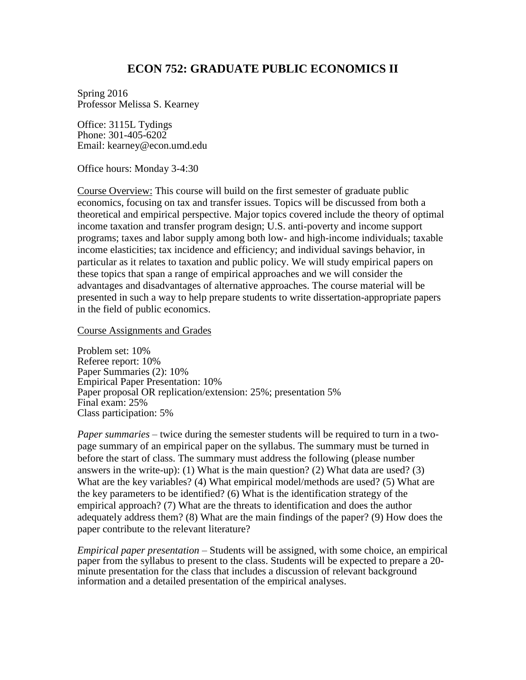# **ECON 752: GRADUATE PUBLIC ECONOMICS II**

Spring 2016 Professor Melissa S. Kearney

Office: 3115L Tydings Phone: 301-405-6202 Email: kearney@econ.umd.edu

Office hours: Monday 3-4:30

Course Overview: This course will build on the first semester of graduate public economics, focusing on tax and transfer issues. Topics will be discussed from both a theoretical and empirical perspective. Major topics covered include the theory of optimal income taxation and transfer program design; U.S. anti-poverty and income support programs; taxes and labor supply among both low- and high-income individuals; taxable income elasticities; tax incidence and efficiency; and individual savings behavior, in particular as it relates to taxation and public policy. We will study empirical papers on these topics that span a range of empirical approaches and we will consider the advantages and disadvantages of alternative approaches. The course material will be presented in such a way to help prepare students to write dissertation-appropriate papers in the field of public economics.

Course Assignments and Grades

Problem set: 10% Referee report: 10% Paper Summaries (2): 10% Empirical Paper Presentation: 10% Paper proposal OR replication/extension: 25%; presentation 5% Final exam: 25% Class participation: 5%

*Paper summaries* – twice during the semester students will be required to turn in a twopage summary of an empirical paper on the syllabus. The summary must be turned in before the start of class. The summary must address the following (please number answers in the write-up): (1) What is the main question? (2) What data are used? (3) What are the key variables? (4) What empirical model/methods are used? (5) What are the key parameters to be identified? (6) What is the identification strategy of the empirical approach? (7) What are the threats to identification and does the author adequately address them? (8) What are the main findings of the paper? (9) How does the paper contribute to the relevant literature?

*Empirical paper presentation* – Students will be assigned, with some choice, an empirical paper from the syllabus to present to the class. Students will be expected to prepare a 20 minute presentation for the class that includes a discussion of relevant background information and a detailed presentation of the empirical analyses.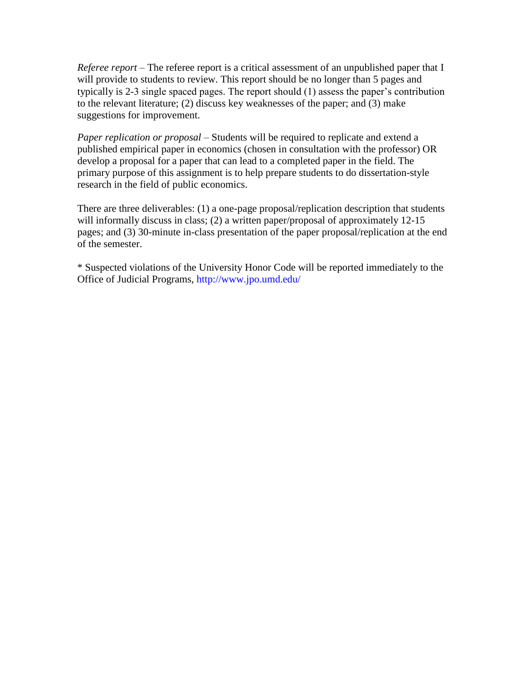*Referee report –* The referee report is a critical assessment of an unpublished paper that I will provide to students to review. This report should be no longer than 5 pages and typically is 2-3 single spaced pages. The report should (1) assess the paper's contribution to the relevant literature; (2) discuss key weaknesses of the paper; and (3) make suggestions for improvement.

*Paper replication or proposal* – Students will be required to replicate and extend a published empirical paper in economics (chosen in consultation with the professor) OR develop a proposal for a paper that can lead to a completed paper in the field. The primary purpose of this assignment is to help prepare students to do dissertation-style research in the field of public economics.

There are three deliverables: (1) a one-page proposal/replication description that students will informally discuss in class; (2) a written paper/proposal of approximately 12-15 pages; and (3) 30-minute in-class presentation of the paper proposal/replication at the end of the semester.

\* Suspected violations of the University Honor Code will be reported immediately to the Office of Judicial Programs, http://www.jpo.umd.edu/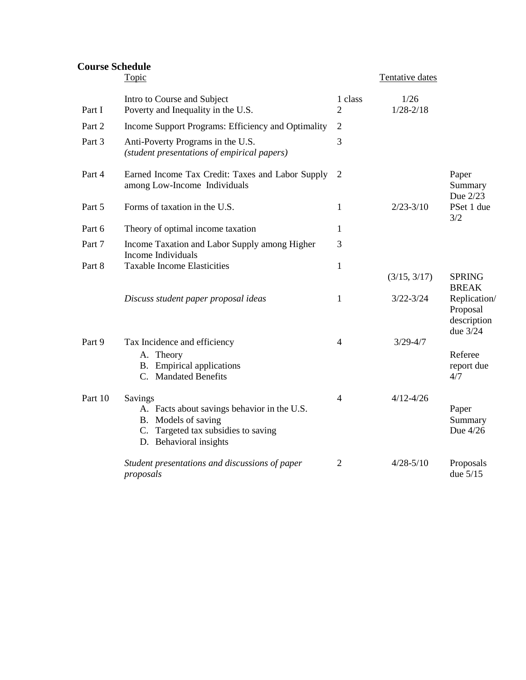# **Course Schedule**

|         | Topic                                                                                                                                          |                           | Tentative dates       |                                                     |
|---------|------------------------------------------------------------------------------------------------------------------------------------------------|---------------------------|-----------------------|-----------------------------------------------------|
| Part I  | Intro to Course and Subject<br>Poverty and Inequality in the U.S.                                                                              | 1 class<br>$\overline{2}$ | 1/26<br>$1/28 - 2/18$ |                                                     |
| Part 2  | Income Support Programs: Efficiency and Optimality                                                                                             | $\overline{2}$            |                       |                                                     |
| Part 3  | Anti-Poverty Programs in the U.S.<br>(student presentations of empirical papers)                                                               | 3                         |                       |                                                     |
| Part 4  | Earned Income Tax Credit: Taxes and Labor Supply<br>among Low-Income Individuals                                                               | 2                         |                       | Paper<br>Summary<br>Due 2/23                        |
| Part 5  | Forms of taxation in the U.S.                                                                                                                  | 1                         | $2/23 - 3/10$         | PSet 1 due<br>3/2                                   |
| Part 6  | Theory of optimal income taxation                                                                                                              | 1                         |                       |                                                     |
| Part 7  | Income Taxation and Labor Supply among Higher<br>Income Individuals                                                                            | 3                         |                       |                                                     |
| Part 8  | <b>Taxable Income Elasticities</b>                                                                                                             | $\mathbf{1}$              | (3/15, 3/17)          | <b>SPRING</b><br><b>BREAK</b>                       |
|         | Discuss student paper proposal ideas                                                                                                           | 1                         | $3/22 - 3/24$         | Replication/<br>Proposal<br>description<br>due 3/24 |
| Part 9  | Tax Incidence and efficiency                                                                                                                   | $\overline{4}$            | $3/29 - 4/7$          |                                                     |
|         | A. Theory<br><b>B.</b> Empirical applications<br>C. Mandated Benefits                                                                          |                           |                       | Referee<br>report due<br>4/7                        |
| Part 10 | Savings<br>A. Facts about savings behavior in the U.S.<br>B. Models of saving<br>C. Targeted tax subsidies to saving<br>D. Behavioral insights | $\overline{4}$            | $4/12 - 4/26$         | Paper<br>Summary<br>Due 4/26                        |
|         | Student presentations and discussions of paper<br>proposals                                                                                    | $\overline{2}$            | $4/28 - 5/10$         | Proposals<br>due $5/15$                             |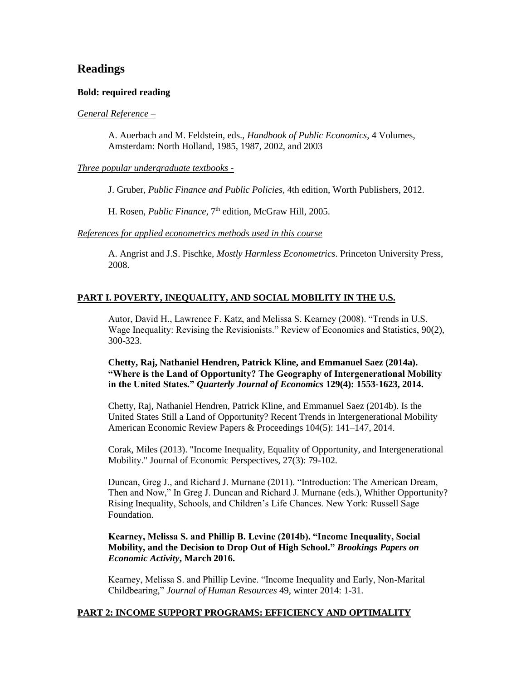# **Readings**

### **Bold: required reading**

### *General Reference –*

A. Auerbach and M. Feldstein, eds., *Handbook of Public Economics*, 4 Volumes, Amsterdam: North Holland, 1985, 1987, 2002, and 2003

### *Three popular undergraduate textbooks -*

J. Gruber, *Public Finance and Public Policies*, 4th edition, Worth Publishers, 2012.

H. Rosen, *Public Finance*, 7<sup>th</sup> edition, McGraw Hill, 2005.

*References for applied econometrics methods used in this course*

A. Angrist and J.S. Pischke, *Mostly Harmless Econometrics*. Princeton University Press, 2008.

# **PART I. POVERTY, INEQUALITY, AND SOCIAL MOBILITY IN THE U.S.**

Autor, David H., Lawrence F. Katz, and Melissa S. Kearney (2008). "Trends in U.S. Wage Inequality: Revising the Revisionists." Review of Economics and Statistics, 90(2), 300-323.

**Chetty, Raj, Nathaniel Hendren, Patrick Kline, and Emmanuel Saez (2014a). "Where is the Land of Opportunity? The Geography of Intergenerational Mobility in the United States."** *Quarterly Journal of Economics* **129(4): 1553-1623, 2014.**

Chetty, Raj, Nathaniel Hendren, Patrick Kline, and Emmanuel Saez (2014b). Is the United States Still a Land of Opportunity? Recent Trends in Intergenerational Mobility American Economic Review Papers & Proceedings 104(5): 141–147, 2014.

Corak, Miles (2013). "Income Inequality, Equality of Opportunity, and Intergenerational Mobility." Journal of Economic Perspectives, 27(3): 79-102.

Duncan, Greg J., and Richard J. Murnane (2011). "Introduction: The American Dream, Then and Now," In Greg J. Duncan and Richard J. Murnane (eds.), Whither Opportunity? Rising Inequality, Schools, and Children's Life Chances. New York: Russell Sage Foundation.

## **Kearney, Melissa S. and Phillip B. Levine (2014b). "Income Inequality, Social Mobility, and the Decision to Drop Out of High School."** *Brookings Papers on Economic Activity***, March 2016.**

Kearney, Melissa S. and Phillip Levine. "Income Inequality and Early, Non-Marital Childbearing," *Journal of Human Resources* 49, winter 2014: 1-31.

## **PART 2: INCOME SUPPORT PROGRAMS: EFFICIENCY AND OPTIMALITY**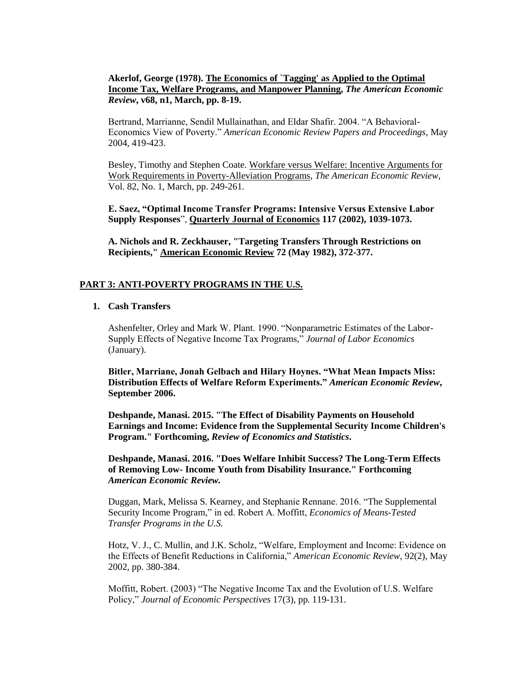# **Akerlof, George (1978). [The Economics of `Tagging' as Applied to the Optimal](http://links.jstor.org/sici?sici=0002-8282%28197803%2968%3A1%3C8%3ATEO%22AA%3E2.0.CO%3B2-W)  [Income Tax, Welfare Programs, and Manpower Planning,](http://links.jstor.org/sici?sici=0002-8282%28197803%2968%3A1%3C8%3ATEO%22AA%3E2.0.CO%3B2-W)** *The American Economic Review***, v68, n1, March, pp. 8-19.**

Bertrand, Marrianne, Sendil Mullainathan, and Eldar Shafir. 2004. "A Behavioral-Economics View of Poverty." *American Economic Review Papers and Proceedings*, May 2004, 419-423.

Besley, Timothy and Stephen Coate. [Workfare versus Welfare: Incentive Arguments for](http://links.jstor.org/sici?sici=0002-8282%28199203%2982%3A1%3C249%3AWVWIAF%3E2.0.CO%3B2-A)  [Work Requirements in Poverty-Alleviation Programs,](http://links.jstor.org/sici?sici=0002-8282%28199203%2982%3A1%3C249%3AWVWIAF%3E2.0.CO%3B2-A) *The American Economic Review*, Vol. 82, No. 1, March, pp. 249-261.

**E. Saez, "Optimal Income Transfer Programs: Intensive Versus Extensive Labor Supply Responses**", **Quarterly Journal of Economics 117 (2002), 1039-1073.** 

**A. Nichols and R. Zeckhauser, "Targeting Transfers Through Restrictions on Recipients," American Economic Review 72 (May 1982), 372-377.**

### **PART 3: ANTI-POVERTY PROGRAMS IN THE U.S.**

## **1. Cash Transfers**

Ashenfelter, Orley and Mark W. Plant. 1990. "Nonparametric Estimates of the Labor-Supply Effects of Negative Income Tax Programs," *Journal of Labor Economics*  (January)*.*

**Bitler, Marriane, Jonah Gelbach and Hilary Hoynes. "What Mean Impacts Miss: Distribution Effects of Welfare Reform Experiments."** *American Economic Review***, September 2006.**

**Deshpande, Manasi. 2015. "The Effect of Disability Payments on Household Earnings and Income: Evidence from the Supplemental Security Income Children's Program." Forthcoming,** *Review of Economics and Statistics***.**

**Deshpande, Manasi. 2016. "Does Welfare Inhibit Success? The Long-Term Effects of Removing Low- Income Youth from Disability Insurance." Forthcoming**  *American Economic Review.*

Duggan, Mark, Melissa S. Kearney, and Stephanie Rennane. 2016. ["The Supplemental](http://www.nber.org/chapters/c13487)  [Security Income Program,](http://www.nber.org/chapters/c13487)" in ed. Robert A. Moffitt, *Economics of Means-Tested Transfer Programs in the U.S.*

Hotz, V. J., C. Mullin, and J.K. Scholz, "Welfare, Employment and Income: Evidence on the Effects of Benefit Reductions in California," *American Economic Review*, 92(2), May 2002, pp. 380-384.

Moffitt, Robert. (2003) "The Negative Income Tax and the Evolution of U.S. Welfare Policy," *Journal of Economic Perspectives* 17(3), pp. 119-131.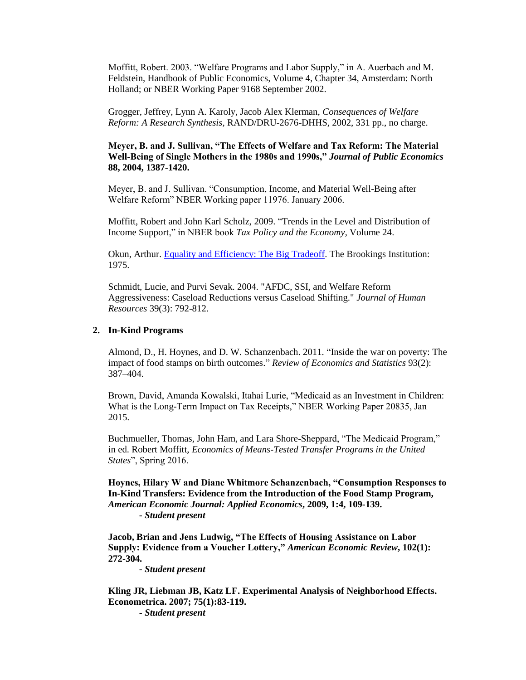Moffitt, Robert. 2003. "Welfare Programs and Labor Supply," in A. Auerbach and M. Feldstein, Handbook of Public Economics, Volume 4, Chapter 34, Amsterdam: North Holland; or NBER Working Paper 9168 September 2002.

Grogger, Jeffrey, Lynn A. Karoly, Jacob Alex Klerman, *Consequences of Welfare Reform: A Research Synthesis,* RAND/DRU-2676-DHHS, 2002, 331 pp., no charge.

### **Meyer, B. and J. Sullivan, "The Effects of Welfare and Tax Reform: The Material Well-Being of Single Mothers in the 1980s and 1990s,"** *Journal of Public Economics* **88, 2004, 1387-1420.**

Meyer, B. and J. Sullivan. "Consumption, Income, and Material Well-Being after Welfare Reform" NBER Working paper 11976. January 2006*.*

Moffitt, Robert and John Karl Scholz, 2009. ["Trends in the Level and](http://www.nber.org/chapters/c11969) Distribution of [Income Support,](http://www.nber.org/chapters/c11969)" in NBER book *[Tax Policy and the Economy](http://www.nber.org/books/brow09-1)*, Volume 24.

Okun, Arthur. [Equality and Efficiency: The Big Tradeoff.](http://www.amazon.com/Equality-Efficiency-The-Big-Tradeoff/dp/0815764758) The Brookings Institution: 1975.

Schmidt, Lucie, and Purvi Sevak. 2004. "AFDC, SSI, and Welfare Reform Aggressiveness: Caseload Reductions versus Caseload Shifting." *Journal of Human Resources* 39(3): 792-812.

#### **2. In-Kind Programs**

Almond, D., H. Hoynes, and D. W. Schanzenbach. 2011. ["Inside the war on poverty: The](http://www.mitpressjournals.org/doi/abs/10.1162/REST_a_00089)  [impact of food stamps on birth outcomes.](http://www.mitpressjournals.org/doi/abs/10.1162/REST_a_00089)" *Review of Economics and Statistics* 93(2): 387–404.

Brown, David, Amanda Kowalski, Itahai Lurie, "Medicaid as an Investment in Children: What is the Long-Term Impact on Tax Receipts," NBER Working Paper 20835, Jan 2015.

Buchmueller, Thomas, John Ham, and Lara Shore-Sheppard, "The Medicaid Program," in ed. Robert Moffitt, *Economics of Means-Tested Transfer Programs in the United States*", Spring 2016.

**Hoynes, Hilary W and Diane Whitmore Schanzenbach, "Consumption Responses to In-Kind Transfers: Evidence from the Introduction of the Food Stamp Program,**  *American Economic Journal: Applied Economics***, 2009, 1:4, 109-139. -** *Student present*

**Jacob, Brian and Jens Ludwig, "The Effects of Housing Assistance on Labor Supply: Evidence from a Voucher Lottery,"** *American Economic Review***, 102(1): 272-304.** 

**-** *Student present*

**Kling JR, Liebman JB, Katz LF. [Experimental Analysis of Neighborhood Effects.](http://scholar.harvard.edu/lkatz/publications/experimental-analysis-neighborhood-effects) Econometrica. 2007; 75(1):83-119.**

**-** *Student present*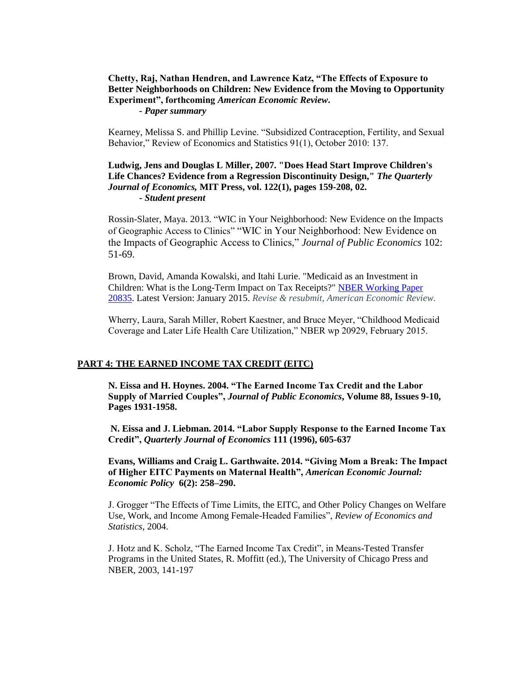# **Chetty, Raj, Nathan Hendren, and Lawrence Katz, "The Effects of Exposure to Better Neighborhoods on Children: New Evidence from the Moving to Opportunity Experiment", forthcoming** *American Economic Review***.**

*- Paper summary*

Kearney, Melissa S. and Phillip Levine. "Subsidized Contraception, Fertility, and Sexual Behavior," Review of Economics and Statistics 91(1), October 2010: 137.

# **Ludwig, Jens and Douglas L Miller, 2007. ["Does Head Start Improve Children's](http://ideas.repec.org/a/tpr/qjecon/v122y2007i1p159-208.html)  [Life Chances? Evidence from a Regression Discontinuity Design,"](http://ideas.repec.org/a/tpr/qjecon/v122y2007i1p159-208.html)** *The Quarterly Journal of Economics,* **MIT Press, vol. 122(1), pages 159-208, 02. -** *Student present*

Rossin-Slater, Maya. 2013. "WIC in Your Neighborhood: New Evidence on the Impacts of Geographic Access to Clinics" "WIC in Your Neighborhood: New Evidence on the Impacts of Geographic Access to Clinics," *Journal of Public Economics* 102: 51-69.

Brown, David, Amanda Kowalski, and Itahi Lurie. "Medicaid as an Investment in Children: What is the Long-Term Impact on Tax Receipts?" [NBER Working Paper](http://www.econ.yale.edu/~ak669/medicaid.latest.draft.pdf)  [20835.](http://www.econ.yale.edu/~ak669/medicaid.latest.draft.pdf) Latest Version: January 2015. *Revise & resubmit, American Economic Review.*

Wherry, Laura, Sarah Miller, Robert Kaestner, and Bruce Meyer, "Childhood Medicaid Coverage and Later Life Health Care Utilization," NBER wp 20929, February 2015.

### **PART 4: THE EARNED INCOME TAX CREDIT (EITC)**

**N. Eissa and H. Hoynes. 2004. "The Earned Income Tax Credit and the Labor Supply of Married Couples",** *Journal of Public Economics***, Volume 88, Issues 9-10, Pages 1931-1958.**

**N. Eissa and J. Liebman. 2014. "Labor Supply Response to the Earned Income Tax Credit",** *Quarterly Journal of Economics* **111 (1996), 605-637** 

**Evans, Williams and Craig L. Garthwaite. 2014. "Giving Mom a Break: The Impact of Higher EITC Payments on Maternal Health",** *American Economic Journal: Economic Policy* **6(2): 258–290.**

J. Grogger "The Effects of Time Limits, the EITC, and Other Policy Changes on Welfare Use, Work, and Income Among Female-Headed Families", *Review of Economics and Statistics*, 2004.

J. Hotz and K. Scholz, "The Earned Income Tax Credit", in Means-Tested Transfer Programs in the United States, R. Moffitt (ed.), The University of Chicago Press and NBER, 2003, 141-197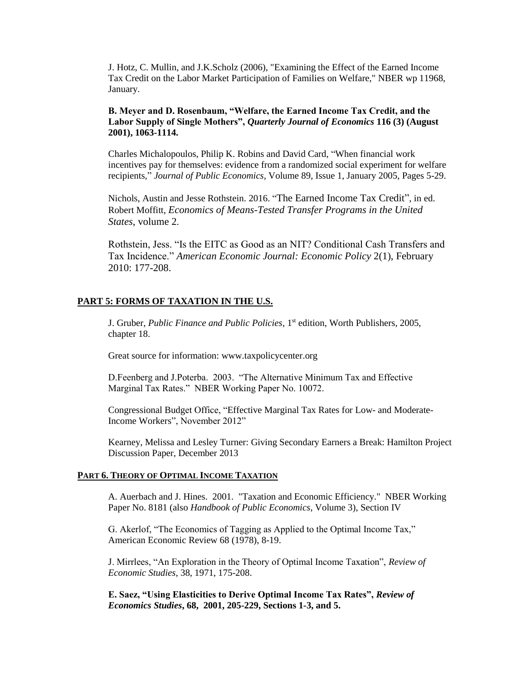J. Hotz, C. Mullin, and J.K.Scholz (2006), "Examining the Effect of the Earned Income Tax Credit on the Labor Market Participation of Families on Welfare," NBER wp 11968, January.

## **B. Meyer and D. Rosenbaum, "Welfare, the Earned Income Tax Credit, and the Labor Supply of Single Mothers",** *Quarterly Journal of Economics* **116 (3) (August 2001), 1063-1114.**

Charles Michalopoulos, Philip K. Robins and David Card, "When financial work incentives pay for themselves: evidence from a randomized social experiment for welfare recipients," *Journal of Public Economics,* Volume 89, Issue 1, January 2005, Pages 5-29.

Nichols, Austin and Jesse Rothstein. 2016. "[The Earned Income Tax Credit"](http://www.nber.org/chapters/c13484), in ed. Robert Moffitt, *[Economics of Means-Tested Transfer Programs in the United](http://www.nber.org/books/moff14-1)  States*[, volume 2](http://www.nber.org/books/moff14-1).

Rothstein, Jess. "Is the EITC as Good as an NIT? Conditional Cash Transfers and Tax Incidence." *American Economic Journal: Economic Policy* 2(1), February 2010: 177-208.

### **PART 5: FORMS OF TAXATION IN THE U.S.**

J. Gruber, *Public Finance and Public Policies*, 1st edition, Worth Publishers, 2005, chapter 18.

Great source for information: www.taxpolicycenter.org

D.Feenberg and J.Poterba. 2003. "The Alternative Minimum Tax and Effective Marginal Tax Rates." NBER Working Paper No. 10072.

Congressional Budget Office, "Effective Marginal Tax Rates for Low- and Moderate-Income Workers", November 2012"

Kearney, Melissa and Lesley Turner: Giving Secondary Earners a Break: Hamilton Project Discussion Paper, December 2013

#### **PART 6. THEORY OF OPTIMAL INCOME TAXATION**

A. Auerbach and J. Hines. 2001. "Taxation and Economic Efficiency." NBER Working Paper No. 8181 (also *Handbook of Public Economics*, Volume 3), Section IV

G. Akerlof, "The Economics of Tagging as Applied to the Optimal Income Tax," American Economic Review 68 (1978), 8-19.

J. Mirrlees, "An Exploration in the Theory of Optimal Income Taxation", *Review of Economic Studies*, 38, 1971, 175-208.

**E. Saez, "Using Elasticities to Derive Optimal Income Tax Rates",** *Review of Economics Studies***, 68, 2001, 205-229, Sections 1-3, and 5.**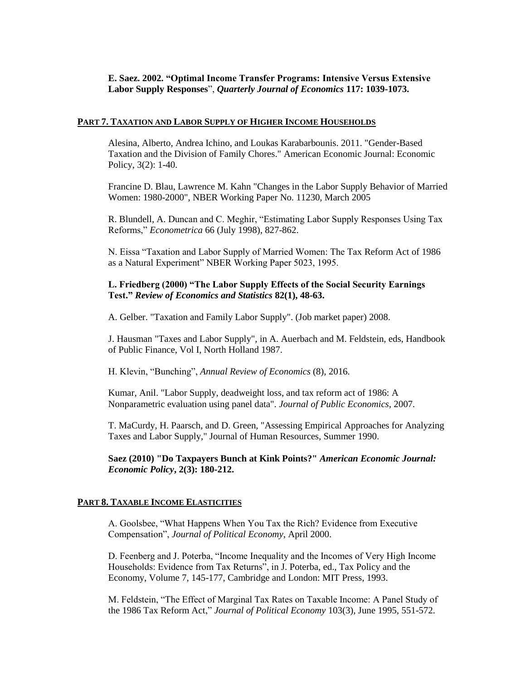# **E. Saez. 2002. "Optimal Income Transfer Programs: Intensive Versus Extensive Labor Supply Responses**", *Quarterly Journal of Economics* **117: 1039-1073.**

#### **PART 7. TAXATION AND LABOR SUPPLY OF HIGHER INCOME HOUSEHOLDS**

Alesina, Alberto, Andrea Ichino, and Loukas Karabarbounis. 2011. "Gender-Based Taxation and the Division of Family Chores." American Economic Journal: Economic Policy, 3(2): 1-40.

Francine D. Blau, Lawrence M. Kahn "Changes in the Labor Supply Behavior of Married Women: 1980-2000", NBER Working Paper No. 11230, March 2005

R. Blundell, A. Duncan and C. Meghir, "Estimating Labor Supply Responses Using Tax Reforms," *Econometrica* 66 (July 1998), 827-862.

N. Eissa "Taxation and Labor Supply of Married Women: The Tax Reform Act of 1986 as a Natural Experiment" NBER Working Paper 5023, 1995.

### **L. Friedberg (2000) "The Labor Supply Effects of the Social Security Earnings Test."** *Review of Economics and Statistics* **82(1), 48-63.**

A. Gelber. "Taxation and Family Labor Supply". (Job market paper) 2008.

J. Hausman "Taxes and Labor Supply", in A. Auerbach and M. Feldstein, eds, Handbook of Public Finance, Vol I, North Holland 1987.

H. Klevin, "Bunching", *Annual Review of Economics* (8), 2016.

Kumar, Anil. "Labor Supply, deadweight loss, and tax reform act of 1986: A Nonparametric evaluation using panel data". *Journal of Public Economics*, 2007.

T. MaCurdy, H. Paarsch, and D. Green, "Assessing Empirical Approaches for Analyzing Taxes and Labor Supply," Journal of Human Resources, Summer 1990.

**Saez (2010) ["Do Taxpayers Bunch at Kink Points?"](http://elsa.berkeley.edu/~saez/bunch.pdf)** *American Economic Journal: [Economic Policy](http://elsa.berkeley.edu/~saez/bunch.pdf)***, 2(3): 180-212.**

#### **PART 8. TAXABLE INCOME ELASTICITIES**

A. Goolsbee, "What Happens When You Tax the Rich? Evidence from Executive Compensation", *Journal of Political Economy*, April 2000.

D. Feenberg and J. Poterba, "Income Inequality and the Incomes of Very High Income Households: Evidence from Tax Returns", in J. Poterba, ed., Tax Policy and the Economy, Volume 7, 145-177, Cambridge and London: MIT Press, 1993.

M. Feldstein, "The Effect of Marginal Tax Rates on Taxable Income: A Panel Study of the 1986 Tax Reform Act," *Journal of Political Economy* 103(3), June 1995, 551-572.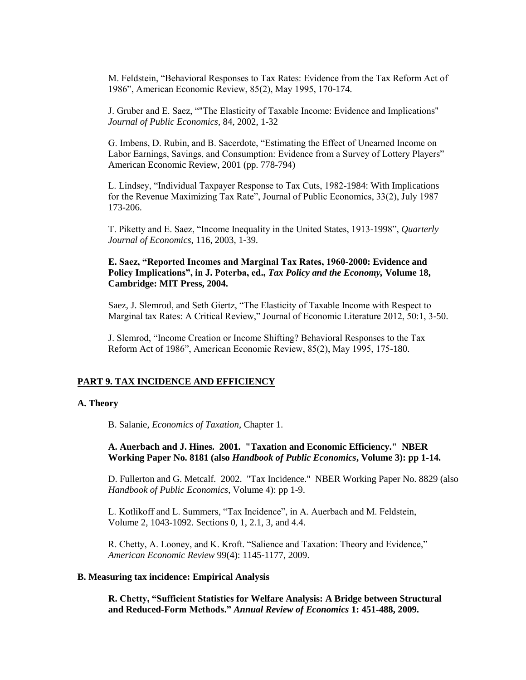M. Feldstein, "Behavioral Responses to Tax Rates: Evidence from the Tax Reform Act of 1986", American Economic Review, 85(2), May 1995, 170-174.

J. Gruber and E. Saez, ""The Elasticity of Taxable Income: Evidence and Implications" *Journal of Public Economics*, 84, 2002, 1-32

G. Imbens, D. Rubin, and B. Sacerdote, "Estimating the Effect of Unearned Income on Labor Earnings, Savings, and Consumption: Evidence from a Survey of Lottery Players" American Economic Review, 2001 (pp. 778-794)

L. Lindsey, "Individual Taxpayer Response to Tax Cuts, 1982-1984: With Implications for the Revenue Maximizing Tax Rate", Journal of Public Economics, 33(2), July 1987 173-206.

T. Piketty and E. Saez, "Income Inequality in the United States, 1913-1998", *Quarterly Journal of Economics*, 116, 2003, 1-39.

### **E. Saez, "Reported Incomes and Marginal Tax Rates, 1960-2000: Evidence and Policy Implications", in J. Poterba, ed.,** *Tax Policy and the Economy,* **Volume 18, Cambridge: MIT Press, 2004.**

Saez, J. Slemrod, and Seth Giertz, "The Elasticity of Taxable Income with Respect to Marginal tax Rates: A Critical Review," Journal of Economic Literature 2012, 50:1, 3-50.

J. Slemrod, "Income Creation or Income Shifting? Behavioral Responses to the Tax Reform Act of 1986", American Economic Review, 85(2), May 1995, 175-180.

#### **PART 9. TAX INCIDENCE AND EFFICIENCY**

#### **A. Theory**

B. Salanie, *Economics of Taxation*, Chapter 1.

### **A. Auerbach and J. Hines. 2001. "Taxation and Economic Efficiency." NBER Working Paper No. 8181 (also** *Handbook of Public Economics***, Volume 3): pp 1-14.**

D. Fullerton and G. Metcalf. 2002. "Tax Incidence." NBER Working Paper No. 8829 (also *Handbook of Public Economics*, Volume 4): pp 1-9.

L. Kotlikoff and L. Summers, "Tax Incidence", in A. Auerbach and M. Feldstein, Volume 2, 1043-1092. Sections 0, 1, 2.1, 3, and 4.4.

R. Chetty, A. Looney, and K. Kroft. "Salience and Taxation: Theory and Evidence," *American Economic Review* 99(4): 1145-1177, 2009.

### **B. Measuring tax incidence: Empirical Analysis**

**R. Chetty, "Sufficient Statistics for Welfare Analysis: A Bridge between Structural and Reduced-Form Methods."** *Annual Review of Economics* **1: 451-488, 2009.**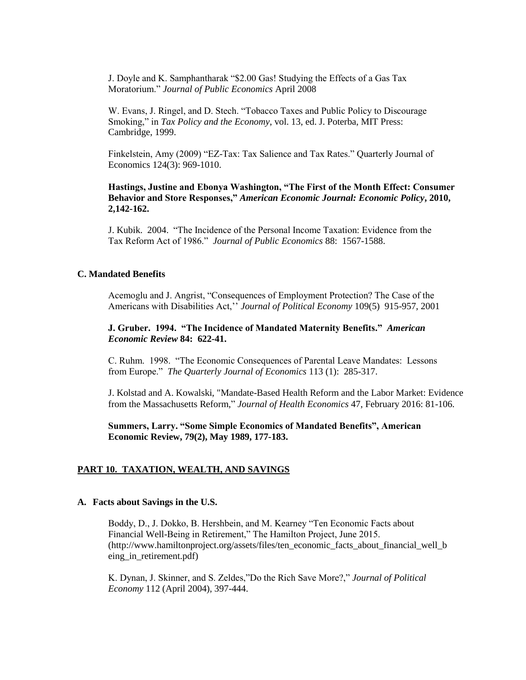J. Doyle and K. Samphantharak "\$2.00 Gas! Studying the Effects of a Gas Tax Moratorium." *Journal of Public Economics* April 2008

W. Evans, J. Ringel, and D. Stech. "Tobacco Taxes and Public Policy to Discourage Smoking," in *Tax Policy and the Economy*, vol. 13, ed. J. Poterba, MIT Press: Cambridge, 1999.

Finkelstein, Amy (2009) "EZ-Tax: Tax Salience and Tax Rates." Quarterly Journal of Economics 124(3): 969-1010.

**Hastings, Justine and Ebonya Washington, "The First of the Month Effect: Consumer Behavior and Store Responses,"** *American Economic Journal: Economic Policy***, 2010, 2,142-162.**

J. Kubik. 2004. "The Incidence of the Personal Income Taxation: Evidence from the Tax Reform Act of 1986." *Journal of Public Economics* 88: 1567-1588.

### **C. Mandated Benefits**

Acemoglu and J. Angrist, "Consequences of Employment Protection? The Case of the Americans with Disabilities Act,'' *Journal of Political Economy* 109(5) 915-957, 2001

**J. Gruber. 1994. "The Incidence of Mandated Maternity Benefits."** *American Economic Review* **84: 622-41.**

C. Ruhm. 1998. "The Economic Consequences of Parental Leave Mandates: Lessons from Europe." *The Quarterly Journal of Economics* 113 (1): 285-317.

J. Kolstad and A. Kowalski, "Mandate-Based Health Reform and the Labor Market: Evidence from the Massachusetts Reform," *Journal of Health Economics* 47, February 2016: 81-106.

**Summers, Larry. "Some Simple Economics of Mandated Benefits", American Economic Review, 79(2), May 1989, 177-183.**

### **PART 10. TAXATION, WEALTH, AND SAVINGS**

#### **A. Facts about Savings in the U.S.**

Boddy, D., J. Dokko, B. Hershbein, and M. Kearney "Ten Economic Facts about Financial Well-Being in Retirement," The Hamilton Project, June 2015. (http://www.hamiltonproject.org/assets/files/ten\_economic\_facts\_about\_financial\_well\_b eing\_in\_retirement.pdf)

K. Dynan, J. Skinner, and S. Zeldes,"Do the Rich Save More?," *Journal of Political Economy* 112 (April 2004), 397-444.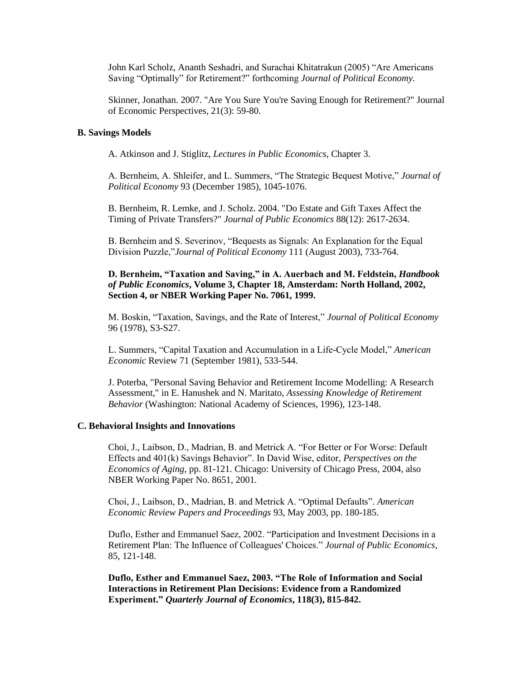John Karl Scholz, Ananth Seshadri, and Surachai Khitatrakun (2005) "Are Americans Saving "Optimally" for Retirement?" forthcoming *Journal of Political Economy.*

Skinner, Jonathan. 2007. "Are You Sure You're Saving Enough for Retirement?" Journal of Economic Perspectives, 21(3): 59-80.

### **B. Savings Models**

A. Atkinson and J. Stiglitz, *Lectures in Public Economics*, Chapter 3.

A. Bernheim, A. Shleifer, and L. Summers, "The Strategic Bequest Motive," *Journal of Political Economy* 93 (December 1985), 1045-1076.

B. Bernheim, R. Lemke, and J. Scholz. 2004. "Do Estate and Gift Taxes Affect the Timing of Private Transfers?" *Journal of Public Economics* 88(12): 2617-2634.

B. Bernheim and S. Severinov, "Bequests as Signals: An Explanation for the Equal Division Puzzle,"*Journal of Political Economy* 111 (August 2003), 733-764.

# **D. Bernheim, "Taxation and Saving," in A. Auerbach and M. Feldstein,** *Handbook of Public Economics***, Volume 3, Chapter 18, Amsterdam: North Holland, 2002, Section 4, or NBER Working Paper No. 7061, 1999.**

M. Boskin, "Taxation, Savings, and the Rate of Interest," *Journal of Political Economy* 96 (1978), S3-S27.

L. Summers, "Capital Taxation and Accumulation in a Life-Cycle Model," *American Economic* Review 71 (September 1981), 533-544.

J. Poterba, "Personal Saving Behavior and Retirement Income Modelling: A Research Assessment," in E. Hanushek and N. Maritato, *Assessing Knowledge of Retirement Behavior* (Washington: National Academy of Sciences, 1996), 123-148.

#### **C. Behavioral Insights and Innovations**

Choi, J., Laibson, D., Madrian, B. and Metrick A. "For Better or For Worse: Default Effects and 401(k) Savings Behavior". In David Wise, editor, *Perspectives on the Economics of Aging*, pp. 81-121. Chicago: University of Chicago Press, 2004, also NBER Working Paper No. 8651, 2001.

Choi, J., Laibson, D., Madrian, B. and Metrick A. "Optimal Defaults". *American Economic Review Papers and Proceedings* 93, May 2003, pp. 180-185.

Duflo, Esther and Emmanuel Saez, 2002. "Participation and Investment Decisions in a Retirement Plan: The Influence of Colleagues' Choices." *Journal of Public Economics*, 85, 121-148.

**Duflo, Esther and Emmanuel Saez, 2003. "The Role of Information and Social Interactions in Retirement Plan Decisions: Evidence from a Randomized Experiment."** *Quarterly Journal of Economics***, 118(3), 815-842.**